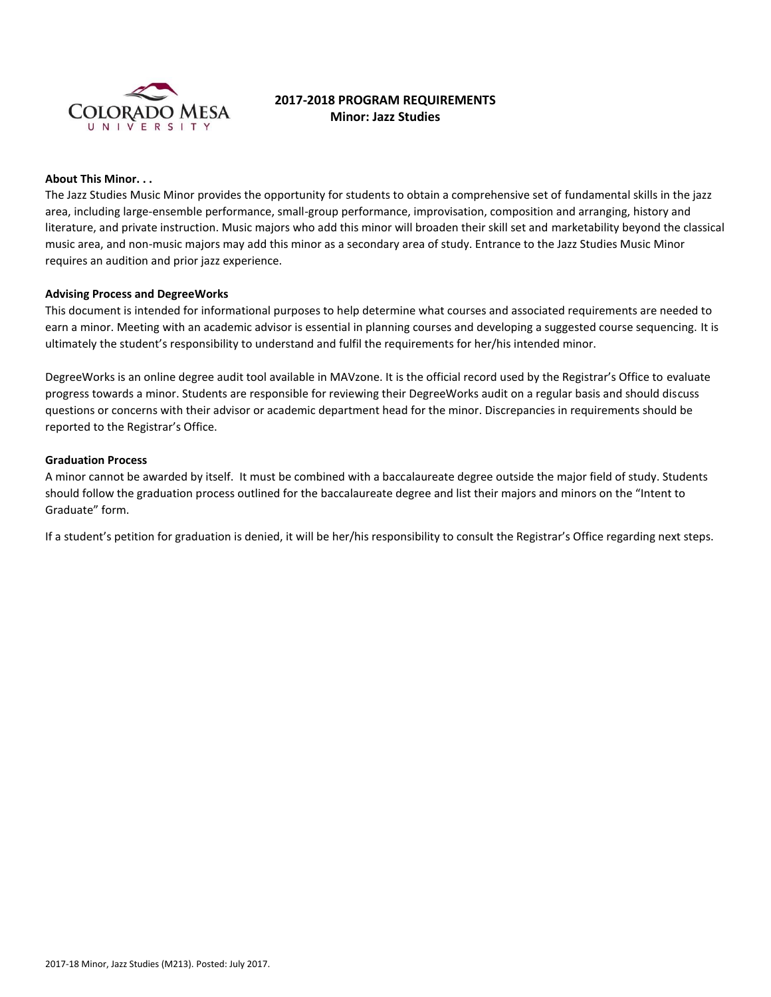

# **2017-2018 PROGRAM REQUIREMENTS Minor: Jazz Studies**

### **About This Minor. . .**

The Jazz Studies Music Minor provides the opportunity for students to obtain a comprehensive set of fundamental skills in the jazz area, including large-ensemble performance, small-group performance, improvisation, composition and arranging, history and literature, and private instruction. Music majors who add this minor will broaden their skill set and marketability beyond the classical music area, and non-music majors may add this minor as a secondary area of study. Entrance to the Jazz Studies Music Minor requires an audition and prior jazz experience.

#### **Advising Process and DegreeWorks**

This document is intended for informational purposes to help determine what courses and associated requirements are needed to earn a minor. Meeting with an academic advisor is essential in planning courses and developing a suggested course sequencing. It is ultimately the student's responsibility to understand and fulfil the requirements for her/his intended minor.

DegreeWorks is an online degree audit tool available in MAVzone. It is the official record used by the Registrar's Office to evaluate progress towards a minor. Students are responsible for reviewing their DegreeWorks audit on a regular basis and should discuss questions or concerns with their advisor or academic department head for the minor. Discrepancies in requirements should be reported to the Registrar's Office.

#### **Graduation Process**

A minor cannot be awarded by itself. It must be combined with a baccalaureate degree outside the major field of study. Students should follow the graduation process outlined for the baccalaureate degree and list their majors and minors on the "Intent to Graduate" form.

If a student's petition for graduation is denied, it will be her/his responsibility to consult the Registrar's Office regarding next steps.